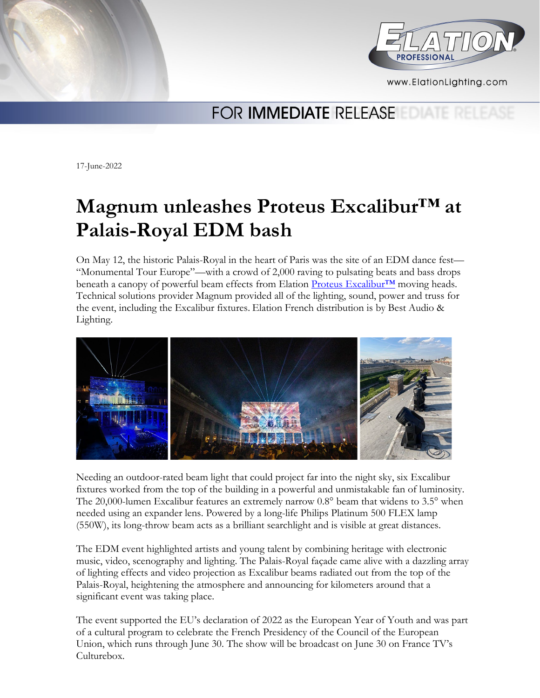



www.ElationLighting.com

## FOR **IMMEDIATE** RELEASE

17-June-2022

# **Magnum unleashes Proteus Excalibur™ at Palais-Royal EDM bash**

On May 12, the historic Palais-Royal in the heart of Paris was the site of an EDM dance fest— "Monumental Tour Europe"—with a crowd of 2,000 raving to pulsating beats and bass drops beneath a canopy of powerful beam effects from Elation Proteus Excalibur<sup>™</sup> moving heads. Technical solutions provider Magnum provided all of the lighting, sound, power and truss for the event, including the Excalibur fixtures. Elation French distribution is by Best Audio & Lighting.



Needing an outdoor-rated beam light that could project far into the night sky, six Excalibur fixtures worked from the top of the building in a powerful and unmistakable fan of luminosity. The 20,000-lumen Excalibur features an extremely narrow 0.8° beam that widens to 3.5° when needed using an expander lens. Powered by a long-life Philips Platinum 500 FLEX lamp (550W), its long-throw beam acts as a brilliant searchlight and is visible at great distances.

The EDM event highlighted artists and young talent by combining heritage with electronic music, video, scenography and lighting. The Palais-Royal façade came alive with a dazzling array of lighting effects and video projection as Excalibur beams radiated out from the top of the Palais-Royal, heightening the atmosphere and announcing for kilometers around that a significant event was taking place.

The event supported the EU's declaration of 2022 as the European Year of Youth and was part of a cultural program to celebrate the French Presidency of the Council of the European Union, which runs through June 30. The show will be broadcast on June 30 on France TV's Culturebox.